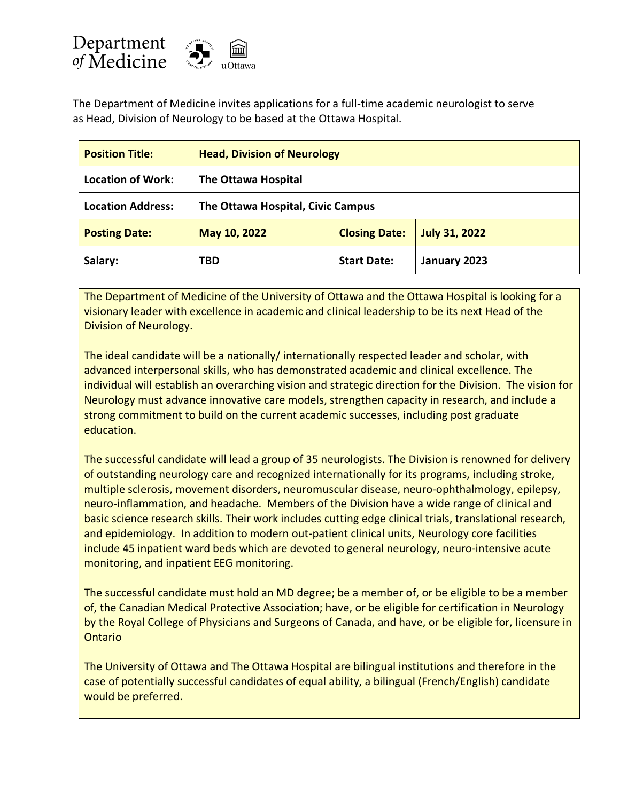

The Department of Medicine invites applications for a full-time academic neurologist to serve as Head, Division of Neurology to be based at the Ottawa Hospital.

| <b>Position Title:</b>   | <b>Head, Division of Neurology</b> |                      |                      |
|--------------------------|------------------------------------|----------------------|----------------------|
| <b>Location of Work:</b> | The Ottawa Hospital                |                      |                      |
| <b>Location Address:</b> | The Ottawa Hospital, Civic Campus  |                      |                      |
| <b>Posting Date:</b>     | May 10, 2022                       | <b>Closing Date:</b> | <b>July 31, 2022</b> |
| Salary:                  | <b>TBD</b>                         | <b>Start Date:</b>   | January 2023         |

The Department of Medicine of the University of Ottawa and the Ottawa Hospital is looking for a visionary leader with excellence in academic and clinical leadership to be its next Head of the Division of Neurology.

The ideal candidate will be a nationally/ internationally respected leader and scholar, with advanced interpersonal skills, who has demonstrated academic and clinical excellence. The individual will establish an overarching vision and strategic direction for the Division. The vision for Neurology must advance innovative care models, strengthen capacity in research, and include a strong commitment to build on the current academic successes, including post graduate education.

The successful candidate will lead a group of 35 neurologists. The Division is renowned for delivery of outstanding neurology care and recognized internationally for its programs, including stroke, multiple sclerosis, movement disorders, neuromuscular disease, neuro-ophthalmology, epilepsy, neuro-inflammation, and headache. Members of the Division have a wide range of clinical and basic science research skills. Their work includes cutting edge clinical trials, translational research, and epidemiology. In addition to modern out-patient clinical units, Neurology core facilities include 45 inpatient ward beds which are devoted to general neurology, neuro-intensive acute monitoring, and inpatient EEG monitoring.

The successful candidate must hold an MD degree; be a member of, or be eligible to be a member of, the Canadian Medical Protective Association; have, or be eligible for certification in Neurology by the Royal College of Physicians and Surgeons of Canada, and have, or be eligible for, licensure in Ontario

The University of Ottawa and The Ottawa Hospital are bilingual institutions and therefore in the case of potentially successful candidates of equal ability, a bilingual (French/English) candidate would be preferred.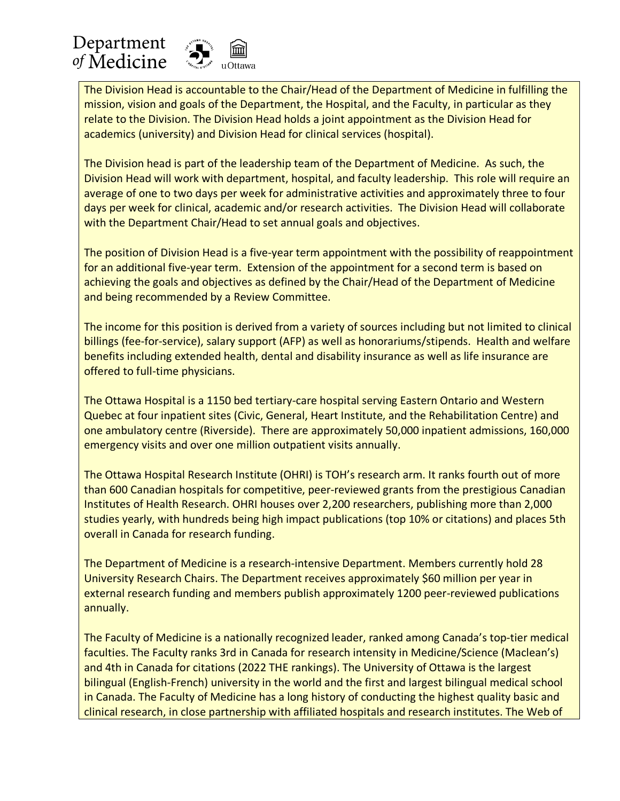## Department of Medicine



The Division Head is accountable to the Chair/Head of the Department of Medicine in fulfilling the mission, vision and goals of the Department, the Hospital, and the Faculty, in particular as they relate to the Division. The Division Head holds a joint appointment as the Division Head for academics (university) and Division Head for clinical services (hospital).

The Division head is part of the leadership team of the Department of Medicine. As such, the Division Head will work with department, hospital, and faculty leadership. This role will require an average of one to two days per week for administrative activities and approximately three to four days per week for clinical, academic and/or research activities. The Division Head will collaborate with the Department Chair/Head to set annual goals and objectives.

The position of Division Head is a five-year term appointment with the possibility of reappointment for an additional five-year term. Extension of the appointment for a second term is based on achieving the goals and objectives as defined by the Chair/Head of the Department of Medicine and being recommended by a Review Committee.

The income for this position is derived from a variety of sources including but not limited to clinical billings (fee-for-service), salary support (AFP) as well as honorariums/stipends. Health and welfare benefits including extended health, dental and disability insurance as well as life insurance are offered to full-time physicians.

The Ottawa Hospital is a 1150 bed tertiary-care hospital serving Eastern Ontario and Western Quebec at four inpatient sites (Civic, General, Heart Institute, and the Rehabilitation Centre) and one ambulatory centre (Riverside). There are approximately 50,000 inpatient admissions, 160,000 emergency visits and over one million outpatient visits annually.

The Ottawa Hospital Research Institute (OHRI) is TOH's research arm. It ranks fourth out of more than 600 Canadian hospitals for competitive, peer-reviewed grants from the prestigious Canadian Institutes of Health Research. OHRI houses over 2,200 researchers, publishing more than 2,000 studies yearly, with hundreds being high impact publications (top 10% or citations) and places 5th overall in Canada for research funding.

The Department of Medicine is a research-intensive Department. Members currently hold 28 University Research Chairs. The Department receives approximately \$60 million per year in external research funding and members publish approximately 1200 peer-reviewed publications annually.

The Faculty of Medicine is a nationally recognized leader, ranked among Canada's top-tier medical faculties. The Faculty ranks 3rd in Canada for research intensity in Medicine/Science (Maclean's) and 4th in Canada for citations (2022 THE rankings). The University of Ottawa is the largest bilingual (English-French) university in the world and the first and largest bilingual medical school in Canada. The Faculty of Medicine has a long history of conducting the highest quality basic and clinical research, in close partnership with affiliated hospitals and research institutes. The Web of